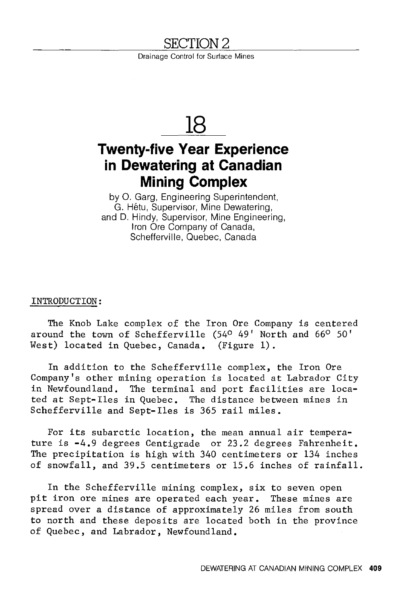# <u>SECTION 2</u>

Drainage Control for Surface Mines

# **18**

# **Twenty-five Year Experience in Dewatering at Canadian Mining Complex**

by 0. Garg, Engineering Superintendent, G. Hetu, Supervisor, Mine Dewatering, and D. Hindy, Supervisor, Mine Engineering, Iron Ore Company of Canada, Schefferville, Quebec, Canada

INTRODUCTION:

The Knob Lake complex of the Iron Ore Company is centered around the town of Schefferville (54° 49' North and 66° 50' West) located in Quebec, Canada. (Figure 1).

In addition to the Schefferville complex, the Iron Ore Company's other mining operation is located at Labrador City in Newfoundland, The terminal and port facilities are located at Sept-Iles in Quebec. The distance between mines in Schefferville and Sept-Iles is 365 rail miles.

For its subarctic location, the mean annual air temperature is -4.9 degrees Centigrade or 23.2 degrees Fahrenheit. The precipitation is high with 340 centimeters or 134 inches of snowfall, and 39.5 centimeters or 15.6 inches of rainfall.

In the Schefferville mining complex, six to seven open pit iron ore mines are operated each year. These mines are spread over a distance of approximately 26 miles from south to north and these deposits are located both in the province of Quebec, and Labrador, Newfoundland.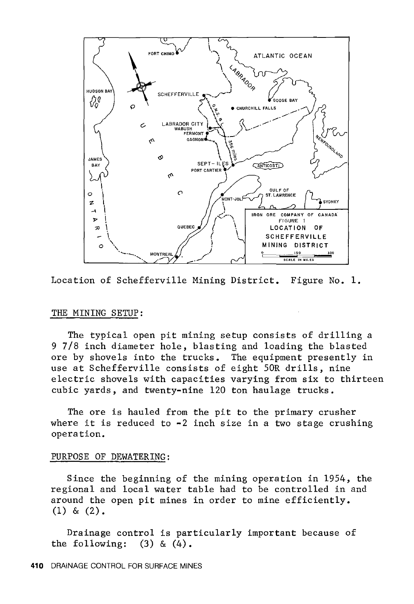



## THE MINING SETUP:

The typical open pit mining setup consists of drilling a 9 7/8 inch diameter hole, blasting and loading the blasted ore by shovels into the trucks. The equipment presently in use at Schefferville consists of eight SOR drills, nine electric shovels with capacities varying from six to thirteen cubic yards, and twenty-nine 120 ton haulage trucks.

The ore is hauled from the pit to the primary crusher where it is reduced to  $-2$  inch size in a two stage crushing operation.

## PURPOSE OF DEWATERING:

Since the beginning of the mining operation in 1954, the regional and local water table had to be controlled in and around the open pit mines in order to mine efficiently.  $(1)$  &  $(2)$ .

Drainage control is particularly important because of the following:  $(3)$  &  $(4)$ .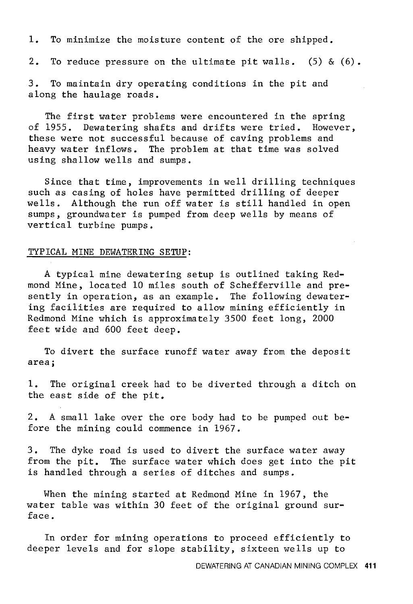1. To minimize the moisture content of the ore shipped.

2. To reduce pressure on the ultimate pit walls.  $(5)$  &  $(6)$ .

3. To maintain dry operating conditions in the pit and along the haulage roads.

The first water problems were encountered in the spring of 1955. Dewatering shafts and drifts were tried. However, these were not successful because of caving problems and heavy water inflows. The problem at that time was solved using shallow wells and sumps.

Since that time, improvements in well drilling techniques such as casing of holes have permitted drilling of deeper wells. Although the run off water is still handled in open sumps, groundwater is pumped from deep wells by means of vertical turbine pumps.

#### TYPICAL MINE DEWATER ING SETUP:

A typical mine dewatering setup is outlined taking Redmond Mine, located 10 miles south of Schefferville and presently in operation, as an example. The following dewatering facilities are required to allow mining efficiently in Redmond Mine which is approximately 3500 feet long, 2000 feet wide and 600 feet deep.

To divert the surface runoff water away from the deposit area;

1. The original creek had to be diverted through a ditch on the east side of the pit.

2. A small lake over the ore body had to be pumped out before the mining could commence in 1967.

3. The dyke road is used to divert the surface water away from the pit. The surface water which does get into the pit is handled through a series of ditches and sumps.

When the mining started at Redmond Mine in 1967, the water table was within 30 feet of the original ground surface.

In order for mining operations to proceed efficiently to deeper levels and for slope stability, sixteen wells up to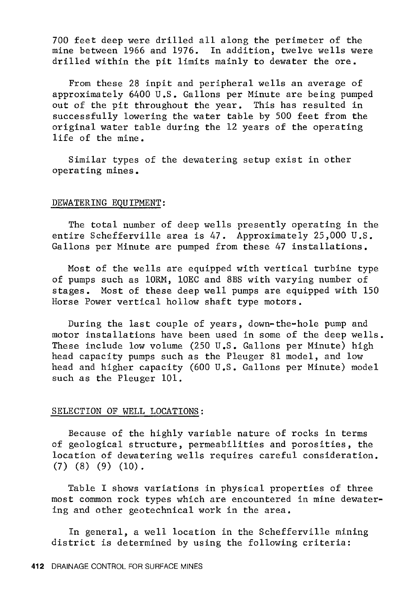700 feet deep were drilled all along the perimeter of the mine between 1966 and 1976. In addition, twelve wells were drilled within the pit limits mainly to dewater the ore.

From these 28 inpit and peripheral wells an average of approximately 6400 U.S. Gallons per Minute are being pumped out of the pit throughout the year. This has resulted in successfully lowering the water table by 500 feet from the original water table during the 12 years of the operating life of the mine.

Similar types of the dewatering setup exist in other operating mines.

#### DEWATERING EQUIPMENT:

The total number of deep wells presently operating in the entire Schefferville area is 47. Approximately 25,000 U.S. Gallons per Minute are pumped from these 47 installations.

Most of the wells are equipped with vertical turbine type of pumps such as lORM, lOEC and 8BS with varying number of stages. Most of these deep well pumps are equipped with 150 Horse Power vertical hollow shaft type motors.

During the last couple of years, down-the-hole pump and motor installations have been used in some of the deep wells. These include low volume (250 U.S. Gallons per Minute) high head capacity pumps such as the Pleuger 81 model, and low head and higher capacity (600 U.S. Gallons per Minute) model such as the Pleuger 101.

#### SELECTION OF WELL LOCATIONS:

Because of the highly variable nature of rocks in terms of geological structure, permeabilities and porosities, the location of dewatering wells requires careful consideration. (7) (8) (9) (10).

Table I shows variations in physical properties of three most common rock types which are encountered in mine dewatering and other geotechnical work in the area.

In general, a well location in the Schefferville mining district is determined by using the following criteria: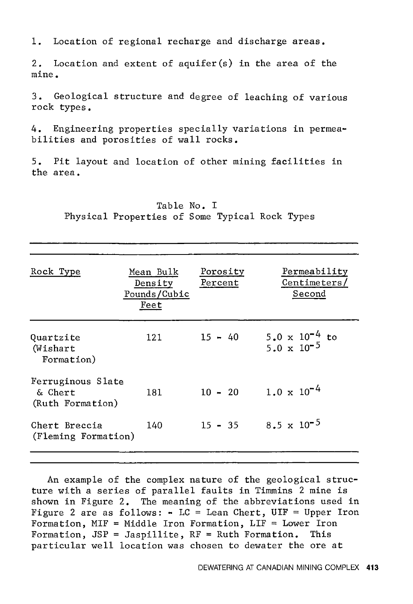1. Location of regional recharge and discharge areas.

2. Location and extent of aquifer(s) in the area of the mine.

3. Geological structure and degree of leaching of various rock types.

4. Engineering properties specially variations in permeabilities and porosities of wall rocks.

5. Pit layout and location of other mining facilities in the area.

| Rock Type                                        | Mean Bulk<br>Density<br>Pounds/Cubic<br>Feet | Porosity<br>Percent | Permeability<br>Centimeters/<br>Second                   |
|--------------------------------------------------|----------------------------------------------|---------------------|----------------------------------------------------------|
| Quartzite<br>(Wishart<br>Formation)              | 121                                          | $15 - 40$           | $5.0 \times 10^{-4}$ to<br>5.0 $\times$ 10 <sup>-5</sup> |
| Ferruginous Slate<br>& Chert<br>(Ruth Formation) | 181                                          | $10 - 20$           | $1.0 \times 10^{-4}$                                     |
| Chert Breccia<br>(Fleming Formation)             | 140                                          | $15 - 35$           | $8.5 \times 10^{-5}$                                     |
|                                                  |                                              |                     |                                                          |

Table No. I Physical Properties of Some Typical Rock Types

An example of the complex nature of the geological structure with a series of parallel faults in Timmins 2 mine is shown in Figure 2. The meaning of the abbreviations used in Figure 2 are as follows: - LC = Lean Chert, UIF = Upper Iron Formation, MIF = Middle Iron Formation, LIF = Lower Iron Formation,  $JSP = Jaspi11ite$ ,  $RF = Ruth$  Formation. This particular well location was chosen to dewater the ore at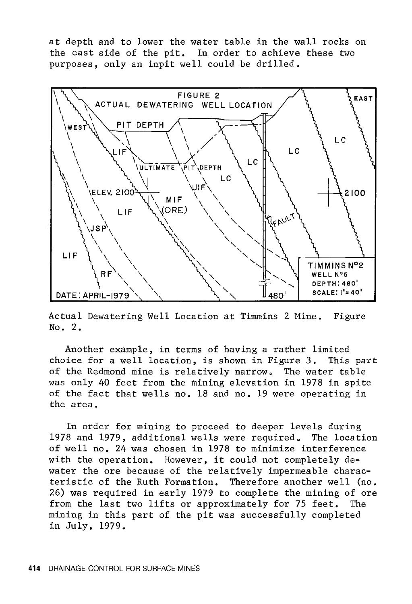at depth and to lower the water table in the wall rocks on the east side of the pit. In order to achieve these two purposes, only an inpit well could be drilled.



No. 2.

Another example, in terms of having a rather limited choice for a well location, is shown in Figure 3. This part of the Redmond mine is relatively narrow. The water table was only 40 feet from the mining elevation in 1978 in spite of the fact that wells no. 18 and no. 19 were operating in the area.

In order for mining to proceed to deeper levels during 1978 and 1979, additional wells were required. The location of well no. 24 was chosen in 1978 to minimize interference with the operation. However, it could not completely dewater the ore because of the relatively impermeable characteristic of the Ruth Formation. Therefore another well (no. 26) was required in early 1979 to complete the mining of ore from the last two lifts or approximately for 75 feet. The mining in this part of the pit was successfully completed in July, 1979.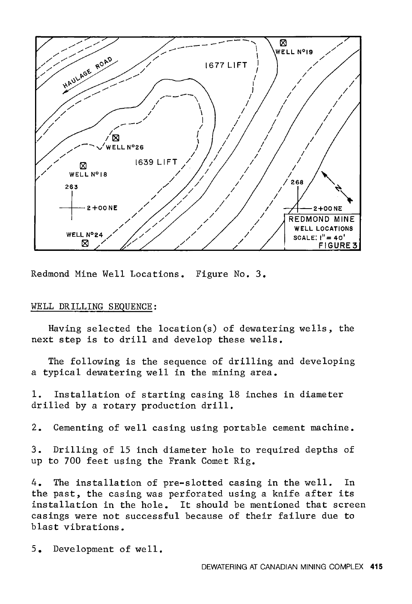

Redmond Mine Well Locations. Figure No. 3.

## WELL DRILLING SEQUENCE:

Having selected the location(s) of dewatering wells, the next step is to drill and develop these wells.

The following is the sequence of drilling and developing a typical dewatering well in the mining area.

1. Installation of starting casing 18 inches in diameter drilled by a rotary production drill.

2. Cementing of well casing using portable cement machine.

3. Drilling of 15 inch diameter hole to required depths of up to 700 feet using the Frank Comet Rig.

4. The installation of pre-slotted casing in the well. In the past, the casing was perforated using a knife after its installation in the hole. It should be mentioned that screen casings were not successful because of their failure due to blast vibrations.

5. Development of well.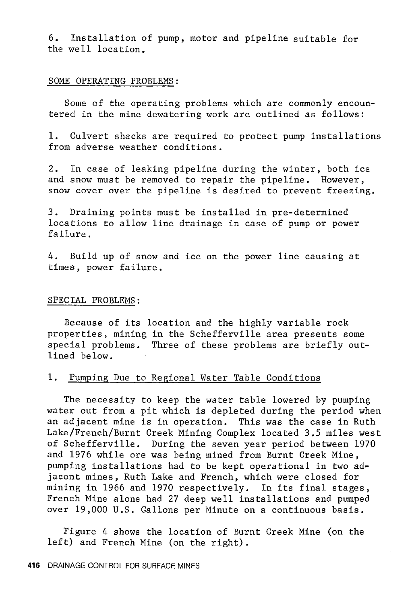6. Installation of pump, motor and pipeline suitable for the well location.

#### SOME OPERATING PROBLEMS:

Some of the operating problems which are commonly encountered in the mine dewatering work are outlined as follows:

1. Culvert shacks are required to protect pump installations from adverse weather conditions.

2. In case of leaking pipeline during the winter, both ice and snow must be removed to repair the pipeline. However, snow cover over the pipeline is desired to prevent freezing.

3. Draining points must be installed in pre-determined locations to allow line drainage in case of pump or power failure.

4. Build up of snow and ice on the power line causing at times, power failure.

#### SPECIAL PROBLEMS:

Because of its location and the highly variable rock properties, mining in the Schefferville area presents some special problems. Three of these problems are briefly outlined be low.

# 1. Pumping Due to Regional Water Table Conditions

The necessity to keep the water table lowered by pumping water out from a pit which is depleted during the period when an adjacent mine is in operation. This was the case in Ruth Lake/French/Burnt Creek Mining Complex located 3.5 miles west of Schefferville. During the seven year period between 1970 and 1976 while ore was being mined from Burnt Creek Mine, pumping installations had to be kept operational in two adjacent mines, Ruth Lake and French, which were closed for mining in 1966 and 1970 respectively. In its final stages, French Mine alone had 27 deep well installations and pumped over 19,000 U.S. Gallons per Minute on a continuous basis.

Figure 4 shows the location of Burnt Creek Mine (on the left) and French Mine (on the right).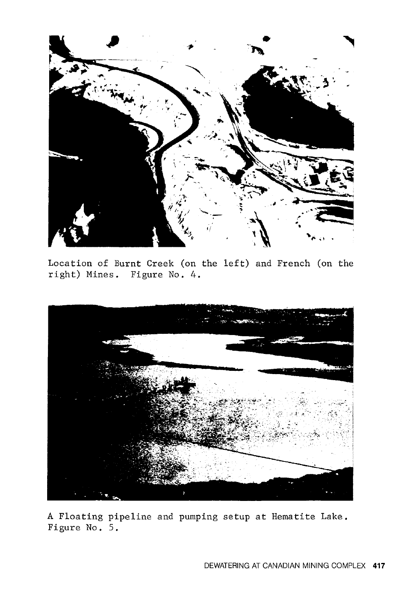

Location of Burnt Creek (on the left) and French (on the right) Mines. Figure No. 4.



A Floating pipeline and pumping setup at Hematite Lake. Figure No. 5.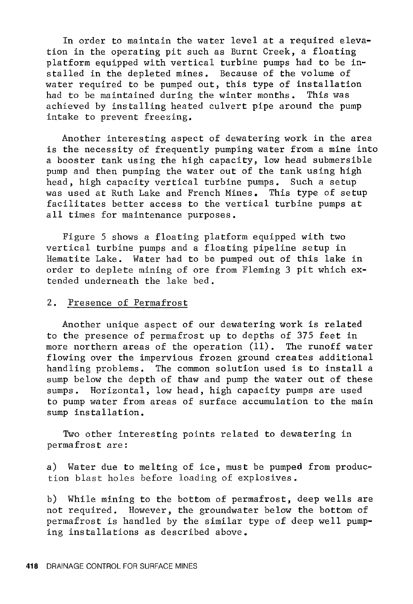In order to maintain the water level at a required elevation in the operating pit such as Burnt Creek, a floating platform equipped with vertical turbine pumps had to be installed in the depleted mines. Because of the volume of water required to be pumped out, this type of installation had to be maintained during the winter months. This was achieved by installing heated culvert pipe around the pump intake to prevent freezing.

Another interesting aspect of dewatering work in the area is the necessity of frequently pumping water from a mine into a booster tank using the high capacity, low head submersible pump and then pumping the water out of the tank using high head, high capacity vertical turbine pumps. Such a setup was used at Ruth Lake and French Mines. This type of setup facilitates better access to the vertical turbine pumps at all times for maintenance purposes.

Figure 5 shows a floating platform equipped with two vertical turbine pumps and a floating pipeline setup in Hematite Lake. Water had to be pumped out of this lake in order to deplete mining of ore from Fleming 3 pit which extended underneath the lake bed.

# 2. Presence of Permafrost

Another unique aspect of our dewatering work is related to the presence of permafrost up to depths of 375 feet in more northern areas of the operation (11). The runoff water flowing over the impervious frozen ground creates additional handling problems. The common solution used is to install a sump below the depth of thaw and pump the water out of these sumps. Horizontal, low head, high capacity pumps are used to pump water from areas of surface accumulation to the main sump installation.

Two other interesting points related to dewatering in permafrost are:

a) Water due to melting of ice, must be pumped from production blast holes before loading of explosives.

b) While mining to the bottom of permafrost, deep wells are not required. However, the groundwater below the bottom of permafrost is handled by the similar type of deep well pumping installations as described above.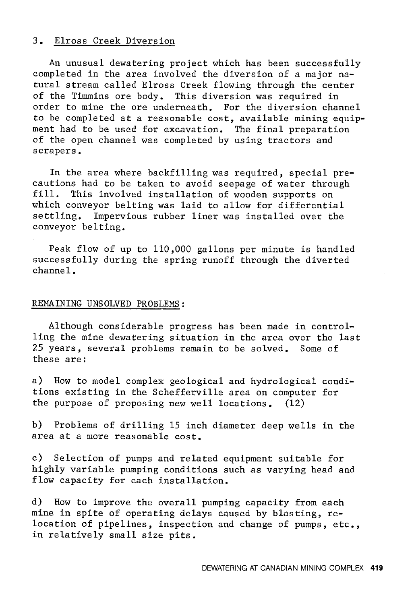## 3. Elross Creek Diversion

An unusual dewatering project which has been successfully completed in the area involved the diversion of a major natural stream called Elross Creek flowing through the center of the Timmins ore body. This diversion was required in order to mine the ore underneath. For the diversion channel to be completed at a reasonable cost, available mining equipment had to be used for excavation. The final preparation of the open channel was completed by using tractors and scrapers.

In the area where backfilling was required, special precautions had to be taken to avoid seepage of water through<br>fill. This involved installation of wooden supports on This involved installation of wooden supports on which conveyor belting was laid to allow for differential settling. Impervious rubber liner was installed over the conveyor belting.

Peak flow of up to 110,000 gallons per minute is handled successfully during the spring runoff through the diverted channel.

#### REMAINING UNSOLVED PROBLEMS:

Although considerable progress has been made in controlling the mine dewatering situation in the area over the last 25 years, several problems remain to be solved. Some of these are:

a) How to model complex geological and hydrological conditions existing in the Schefferville area on computer for the purpose of proposing new well locations. (12)

b) Problems of drilling 15 inch diameter deep wells in the area at a more reasonable cost.

c) Selection of pumps and related equipment suitable for highly variable pumping conditions such as varying head and flow capacity for each installation.

d) How to improve the overall pumping capacity from each mine in spite of operating delays caused by blasting, relocation of pipelines, inspection and change of pumps, etc., in relatively small size pits.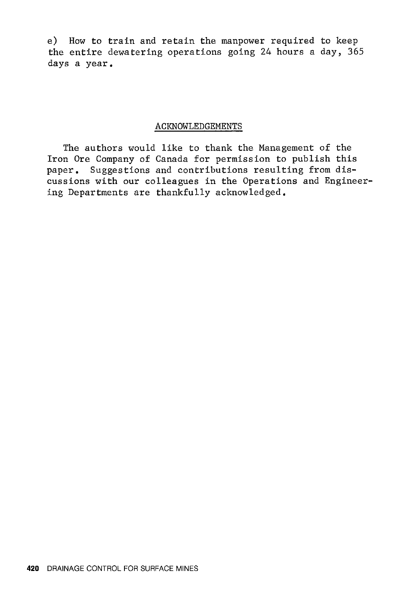e) How to train and retain the manpower required to keep the entire dewatering operations going 24 hours a day, 365 days a year.

# ACKNOWLEDGEMENTS

The authors would like to thank the Management of the Iron Ore Company of Canada for permission to publish this paper. Suggestions and contributions resulting from discussions with our colleagues in the Operations and Engineering Departments are thankfully acknowledged.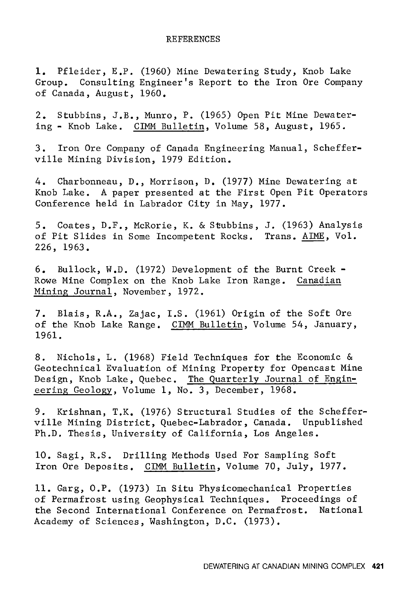#### REFERENCES

1. Pfleider, E.P. (1960) Mine Dewatering Study, Knob Lake Group. Consulting Engineer's Report to the Iron Ore Company of Canada, August, 1960.

2. Stubbins, J.B., Munro, P. (1965) Open Pit Mine Dewatering - Knob Lake. CIMM Bulletin, Volume 58, August, 1965.

3. Iron Ore Company of Canada Engineering Manual, Schefferville Mining Division, 1979 Edition.

4. Charbonneau, D., Morrison, D. (1977) Mine Dewatering at Knob Lake. A paper presented at the First Open Pit Operators Conference held in Labrador City in May, 1977.

5. Coates, D.F., McRorie, K. & Stubbins, J. (1963) Analysis of Pit Slides in Some Incompetent Rocks. Trans. AIME, Vol. 226, 1963.

6. Bullock, W.D. (1972) Development of the Burnt Creek - Rowe Mine Complex on the Knob Lake Iron Range. Canadian Mining Journal, November, 1972.

7. Blais, R.A., Zajac, I.S. (1961) Origin of the Soft Ore of the Knob Lake Range. CIMM Bulletin, Volume 54, January, 1961.

8. Nichols, L. (1968) Field Techniques for the Economic & Geotechnical Evaluation of Mining Property for Opencast Mine Design, Knob Lake, Quebec. The Quarterly Journal of Engineering Geology, Volume 1, No. 3, December, 1968.

9. Krishnan, T.K. (1976) Structural Studies of the Schefferville Mining District, Quebec-Labrador, Canada. Unpublished Ph.D. Thesis, University of California, Los Angeles.

10. Sagi, R.S. Drilling Methods Used For Sampling Soft Iron Ore Deposits. CIMM Bulletin, Volume 70, July, 1977.

11. Garg, O.P. (1973) In Situ Physicomechanical Properties of Permafrost using Geophysical Techniques. Proceedings of the Second International Conference on Permafrost. National Academy of Sciences, Washington, D.C. (1973).